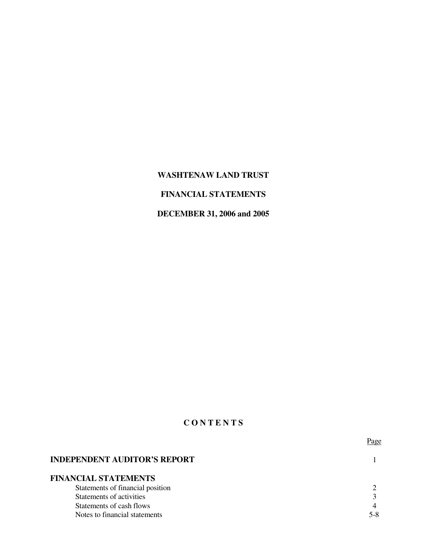# **WASHTENAW LAND TRUST**

# **FINANCIAL STATEMENTS**

# **DECEMBER 31, 2006 and 2005**

# **C O N T E N T S**

|                                     | Page |
|-------------------------------------|------|
| <b>INDEPENDENT AUDITOR'S REPORT</b> |      |
| <b>FINANCIAL STATEMENTS</b>         |      |
| Statements of financial position    |      |
| Statements of activities            |      |
| Statements of cash flows            |      |
| Notes to financial statements       | 5-8  |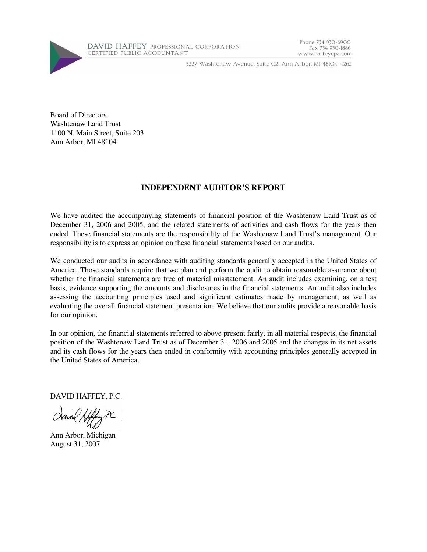

3227 Washtenaw Avenue, Suite C2, Ann Arbor, MI 48104-4262

Phone 734 930-6900

www.haffeycpa.com

Fax 734 930-1886

Board of Directors Washtenaw Land Trust 1100 N. Main Street, Suite 203 Ann Arbor, MI 48104

## **INDEPENDENT AUDITOR'S REPORT**

We have audited the accompanying statements of financial position of the Washtenaw Land Trust as of December 31, 2006 and 2005, and the related statements of activities and cash flows for the years then ended. These financial statements are the responsibility of the Washtenaw Land Trust's management. Our responsibility is to express an opinion on these financial statements based on our audits.

We conducted our audits in accordance with auditing standards generally accepted in the United States of America. Those standards require that we plan and perform the audit to obtain reasonable assurance about whether the financial statements are free of material misstatement. An audit includes examining, on a test basis, evidence supporting the amounts and disclosures in the financial statements. An audit also includes assessing the accounting principles used and significant estimates made by management, as well as evaluating the overall financial statement presentation. We believe that our audits provide a reasonable basis for our opinion.

In our opinion, the financial statements referred to above present fairly, in all material respects, the financial position of the Washtenaw Land Trust as of December 31, 2006 and 2005 and the changes in its net assets and its cash flows for the years then ended in conformity with accounting principles generally accepted in the United States of America.

DAVID HAFFEY, P.C.

Ann Arbor, Michigan August 31, 2007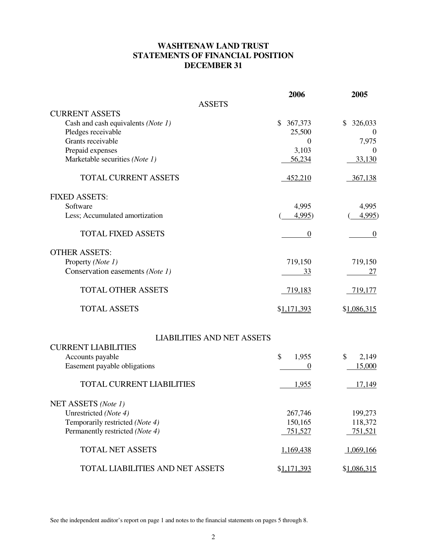# **WASHTENAW LAND TRUST STATEMENTS OF FINANCIAL POSITION DECEMBER 31**

|                                         | 2006             | 2005             |
|-----------------------------------------|------------------|------------------|
| <b>ASSETS</b>                           |                  |                  |
| <b>CURRENT ASSETS</b>                   |                  |                  |
| Cash and cash equivalents (Note 1)      | 367,373<br>\$    | 326,033<br>\$    |
| Pledges receivable                      | 25,500           | $\theta$         |
| Grants receivable                       | $\boldsymbol{0}$ | 7,975            |
| Prepaid expenses                        | 3,103            | $\theta$         |
| Marketable securities (Note 1)          | 56,234           | 33,130           |
| <b>TOTAL CURRENT ASSETS</b>             | 452,210          | 367,138          |
| <b>FIXED ASSETS:</b>                    |                  |                  |
| Software                                | 4,995            | 4,995            |
| Less; Accumulated amortization          | 4,995)           | 4,995)           |
| <b>TOTAL FIXED ASSETS</b>               | $\boldsymbol{0}$ | $\boldsymbol{0}$ |
| <b>OTHER ASSETS:</b>                    |                  |                  |
| Property (Note 1)                       | 719,150          | 719,150          |
| Conservation easements (Note 1)         | 33               | 27               |
| <b>TOTAL OTHER ASSETS</b>               | 719,183          | 719,177          |
| <b>TOTAL ASSETS</b>                     | \$1,171,393      | \$1,086,315      |
| <b>LIABILITIES AND NET ASSETS</b>       |                  |                  |
| <b>CURRENT LIABILITIES</b>              |                  |                  |
| Accounts payable                        | \$<br>1,955      | 2,149<br>\$      |
| Easement payable obligations            | $\overline{0}$   | 15,000           |
| <b>TOTAL CURRENT LIABILITIES</b>        | 1,955            | 17,149           |
| NET ASSETS (Note 1)                     |                  |                  |
| Unrestricted (Note 4)                   | 267,746          | 199,273          |
| Temporarily restricted (Note 4)         | 150,165          | 118,372          |
| Permanently restricted (Note 4)         | 751,527          | 751,521          |
| <b>TOTAL NET ASSETS</b>                 | 1,169,438        | 1,069,166        |
| <b>TOTAL LIABILITIES AND NET ASSETS</b> | \$1,171,393      | \$1,086,315      |

See the independent auditor's report on page 1 and notes to the financial statements on pages 5 through 8.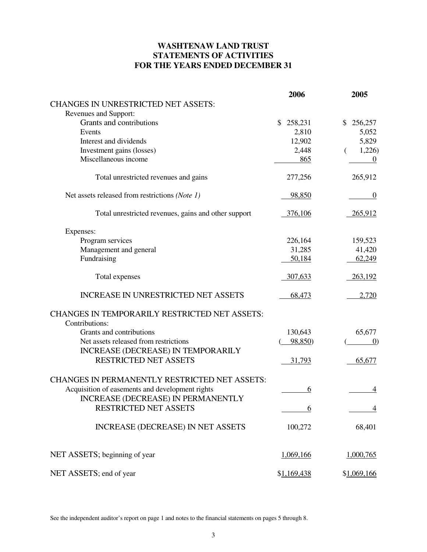# **WASHTENAW LAND TRUST STATEMENTS OF ACTIVITIES FOR THE YEARS ENDED DECEMBER 31**

|                                                      | 2006          | 2005              |
|------------------------------------------------------|---------------|-------------------|
| <b>CHANGES IN UNRESTRICTED NET ASSETS:</b>           |               |                   |
| Revenues and Support:                                |               |                   |
| Grants and contributions                             | \$<br>258,231 | 256,257<br>\$     |
| Events                                               | 2,810         | 5,052             |
| Interest and dividends                               | 12,902        | 5,829             |
| Investment gains (losses)                            | 2,448         | 1,226             |
| Miscellaneous income                                 | 865           | $\overline{0}$    |
| Total unrestricted revenues and gains                | 277,256       | 265,912           |
| Net assets released from restrictions (Note 1)       | <u>98,850</u> | $\boldsymbol{0}$  |
| Total unrestricted revenues, gains and other support | 376,106       | 265,912           |
| Expenses:                                            |               |                   |
| Program services                                     | 226,164       | 159,523           |
| Management and general                               | 31,285        | 41,420            |
| Fundraising                                          | 50,184        | 62,249            |
| Total expenses                                       | 307,633       | 263,192           |
| <b>INCREASE IN UNRESTRICTED NET ASSETS</b>           | 68,473        | 2,720             |
| <b>CHANGES IN TEMPORARILY RESTRICTED NET ASSETS:</b> |               |                   |
| Contributions:                                       |               |                   |
| Grants and contributions                             | 130,643       | 65,677            |
| Net assets released from restrictions                | 98,850)       | $\left( 0\right)$ |
| <b>INCREASE (DECREASE) IN TEMPORARILY</b>            |               |                   |
| <b>RESTRICTED NET ASSETS</b>                         | 31,793        | 65,677            |
| <b>CHANGES IN PERMANENTLY RESTRICTED NET ASSETS:</b> |               |                   |
| Acquisition of easements and development rights      | 6             | 4                 |
| INCREASE (DECREASE) IN PERMANENTLY                   |               |                   |
| RESTRICTED NET ASSETS                                | 6             | $\overline{4}$    |
| <b>INCREASE (DECREASE) IN NET ASSETS</b>             | 100,272       | 68,401            |
| NET ASSETS; beginning of year                        | 1,069,166     | 1,000,765         |
| NET ASSETS; end of year                              | \$1,169,438   | \$1,069,166       |
|                                                      |               |                   |

See the independent auditor's report on page 1 and notes to the financial statements on pages 5 through 8.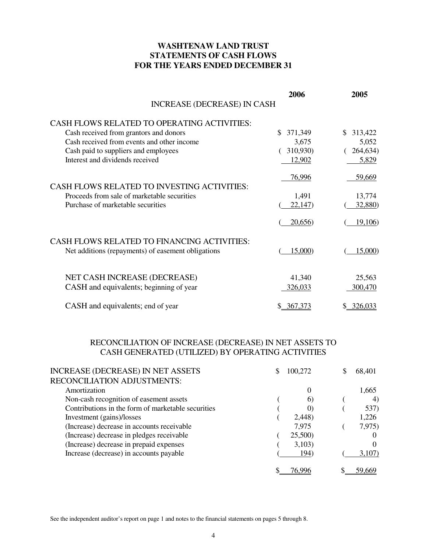## **WASHTENAW LAND TRUST STATEMENTS OF CASH FLOWS FOR THE YEARS ENDED DECEMBER 31**

|                                                    | 2006          | 2005           |
|----------------------------------------------------|---------------|----------------|
| <b>INCREASE (DECREASE) IN CASH</b>                 |               |                |
| CASH FLOWS RELATED TO OPERATING ACTIVITIES:        |               |                |
| Cash received from grantors and donors             | S.<br>371,349 | 313,422<br>\$. |
| Cash received from events and other income         | 3,675         | 5,052          |
| Cash paid to suppliers and employees               | 310,930)      | 264,634)       |
| Interest and dividends received                    | 12,902        | 5,829          |
| <b>CASH FLOWS RELATED TO INVESTING ACTIVITIES:</b> | 76,996        | 59,669         |
| Proceeds from sale of marketable securities        | 1,491         | 13,774         |
| Purchase of marketable securities                  | 22,147        | 32,880)        |
|                                                    | 20,656)       | 19,106         |
| <b>CASH FLOWS RELATED TO FINANCING ACTIVITIES:</b> |               |                |
| Net additions (repayments) of easement obligations | 15,000)       | 15,000)        |
| NET CASH INCREASE (DECREASE)                       | 41,340        | 25,563         |
|                                                    | 326,033       | 300,470        |
| CASH and equivalents; beginning of year            |               |                |
| CASH and equivalents; end of year                  | \$ 367,373    | \$ 326,033     |

# RECONCILIATION OF INCREASE (DECREASE) IN NET ASSETS TO CASH GENERATED (UTILIZED) BY OPERATING ACTIVITIES

| <b>INCREASE (DECREASE) IN NET ASSETS</b>           | S | 100.272  | 68,401           |
|----------------------------------------------------|---|----------|------------------|
| RECONCILIATION ADJUSTMENTS:                        |   |          |                  |
| Amortization                                       |   | $\theta$ | 1,665            |
| Non-cash recognition of easement assets            |   | $\omega$ | $\left(4\right)$ |
| Contributions in the form of marketable securities |   |          | 537)             |
| Investment (gains)/losses                          |   | 2,448)   | 1,226            |
| (Increase) decrease in accounts receivable         |   | 7,975    | 7,975)           |
| (Increase) decrease in pledges receivable          |   | 25,500)  | O                |
| (Increase) decrease in prepaid expenses            |   | 3,103)   | $\Omega$         |
| Increase (decrease) in accounts payable            |   | 194)     | 3,107)           |
|                                                    |   |          |                  |

See the independent auditor's report on page 1 and notes to the financial statements on pages 5 through 8.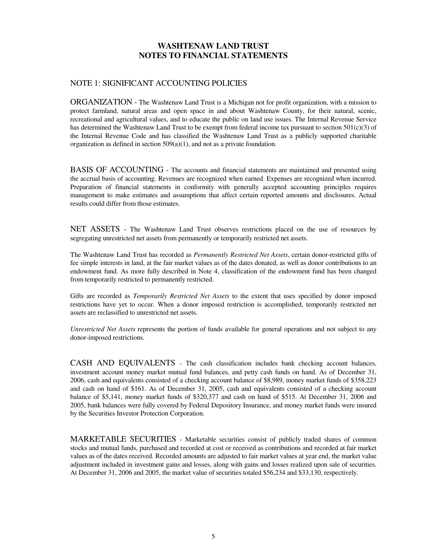#### NOTE 1: SIGNIFICANT ACCOUNTING POLICIES

ORGANIZATION - The Washtenaw Land Trust is a Michigan not for profit organization, with a mission to protect farmland, natural areas and open space in and about Washtenaw County, for their natural, scenic, recreational and agricultural values, and to educate the public on land use issues. The Internal Revenue Service has determined the Washtenaw Land Trust to be exempt from federal income tax pursuant to section 501(c)(3) of the Internal Revenue Code and has classified the Washtenaw Land Trust as a publicly supported charitable organization as defined in section  $509(a)(1)$ , and not as a private foundation.

BASIS OF ACCOUNTING - The accounts and financial statements are maintained and presented using the accrual basis of accounting. Revenues are recognized when earned. Expenses are recognized when incurred. Preparation of financial statements in conformity with generally accepted accounting principles requires management to make estimates and assumptions that affect certain reported amounts and disclosures. Actual results could differ from those estimates.

NET ASSETS - The Washtenaw Land Trust observes restrictions placed on the use of resources by segregating unrestricted net assets from permanently or temporarily restricted net assets.

The Washtenaw Land Trust has recorded as *Permanently Restricted Net Assets*, certain donor-restricted gifts of fee simple interests in land, at the fair market values as of the dates donated, as well as donor contributions to an endowment fund. As more fully described in Note 4, classification of the endowment fund has been changed from temporarily restricted to permanently restricted.

Gifts are recorded as *Temporarily Restricted Net Assets* to the extent that uses specified by donor imposed restrictions have yet to occur. When a donor imposed restriction is accomplished, temporarily restricted net assets are reclassified to unrestricted net assets.

*Unrestricted Net Assets* represents the portion of funds available for general operations and not subject to any donor-imposed restrictions.

CASH AND EQUIVALENTS - The cash classification includes bank checking account balances, investment account money market mutual fund balances, and petty cash funds on hand. As of December 31, 2006, cash and equivalents consisted of a checking account balance of \$8,989, money market funds of \$358,223 and cash on hand of \$161. As of December 31, 2005, cash and equivalents consisted of a checking account balance of \$5,141, money market funds of \$320,377 and cash on hand of \$515. At December 31, 2006 and 2005, bank balances were fully covered by Federal Depository Insurance, and money market funds were insured by the Securities Investor Protection Corporation.

MARKETABLE SECURITIES - Marketable securities consist of publicly traded shares of common stocks and mutual funds, purchased and recorded at cost or received as contributions and recorded at fair market values as of the dates received. Recorded amounts are adjusted to fair market values at year end, the market value adjustment included in investment gains and losses, along with gains and losses realized upon sale of securities. At December 31, 2006 and 2005, the market value of securities totaled \$56,234 and \$33,130, respectively.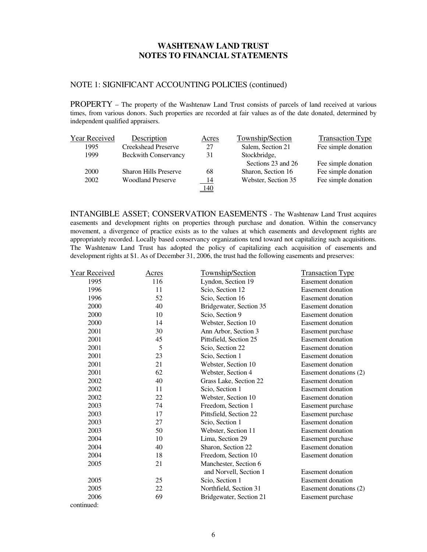#### NOTE 1: SIGNIFICANT ACCOUNTING POLICIES (continued)

PROPERTY – The property of the Washtenaw Land Trust consists of parcels of land received at various times, from various donors. Such properties are recorded at fair values as of the date donated, determined by independent qualified appraisers.

| Year Received | Description                  | Acres      | Township/Section    | <b>Transaction Type</b> |
|---------------|------------------------------|------------|---------------------|-------------------------|
| 1995          | <b>Creekshead Preserve</b>   | 27         | Salem, Section 21   | Fee simple donation     |
| 1999          | <b>Beckwith Conservancy</b>  | 31         | Stockbridge,        |                         |
|               |                              |            | Sections 23 and 26  | Fee simple donation     |
| 2000          | <b>Sharon Hills Preserve</b> | 68         | Sharon, Section 16  | Fee simple donation     |
| 2002          | <b>Woodland Preserve</b>     | - 14       | Webster, Section 35 | Fee simple donation     |
|               |                              | <u>140</u> |                     |                         |

INTANGIBLE ASSET; CONSERVATION EASEMENTS - The Washtenaw Land Trust acquires easements and development rights on properties through purchase and donation. Within the conservancy movement, a divergence of practice exists as to the values at which easements and development rights are appropriately recorded. Locally based conservancy organizations tend toward not capitalizing such acquisitions. The Washtenaw Land Trust has adopted the policy of capitalizing each acquisition of easements and development rights at \$1. As of December 31, 2006, the trust had the following easements and preserves:

| <b>Year Received</b> | <u>Acres</u> | Township/Section        | <b>Transaction Type</b>  |
|----------------------|--------------|-------------------------|--------------------------|
| 1995                 | 116          | Lyndon, Section 19      | Easement donation        |
| 1996                 | 11           | Scio, Section 12        | Easement donation        |
| 1996                 | 52           | Scio, Section 16        | Easement donation        |
| 2000                 | 40           | Bridgewater, Section 35 | Easement donation        |
| 2000                 | 10           | Scio, Section 9         | Easement donation        |
| 2000                 | 14           | Webster, Section 10     | Easement donation        |
| 2001                 | 30           | Ann Arbor, Section 3    | Easement purchase        |
| 2001                 | 45           | Pittsfield, Section 25  | Easement donation        |
| 2001                 | 5            | Scio, Section 22        | Easement donation        |
| 2001                 | 23           | Scio, Section 1         | Easement donation        |
| 2001                 | 21           | Webster, Section 10     | Easement donation        |
| 2001                 | 62           | Webster, Section 4      | Easement donations (2)   |
| 2002                 | 40           | Grass Lake, Section 22  | Easement donation        |
| 2002                 | 11           | Scio, Section 1         | Easement donation        |
| 2002                 | 22           | Webster, Section 10     | <b>Easement</b> donation |
| 2003                 | 74           | Freedom, Section 1      | Easement purchase        |
| 2003                 | 17           | Pittsfield, Section 22  | Easement purchase        |
| 2003                 | 27           | Scio, Section 1         | <b>Easement donation</b> |
| 2003                 | 50           | Webster, Section 11     | Easement donation        |
| 2004                 | 10           | Lima, Section 29        | Easement purchase        |
| 2004                 | 40           | Sharon, Section 22      | <b>Easement</b> donation |
| 2004                 | 18           | Freedom, Section 10     | <b>Easement donation</b> |
| 2005                 | 21           | Manchester, Section 6   |                          |
|                      |              | and Norvell, Section 1  | <b>Easement donation</b> |
| 2005                 | 25           | Scio, Section 1         | <b>Easement donation</b> |
| 2005                 | 22           | Northfield, Section 31  | Easement donations (2)   |
| 2006                 | 69           | Bridgewater, Section 21 | Easement purchase        |
| continued:           |              |                         |                          |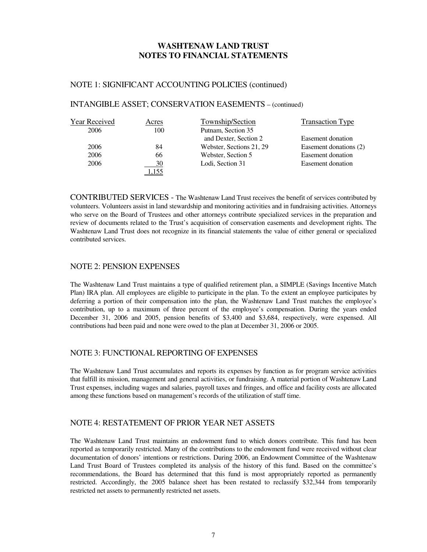#### NOTE 1: SIGNIFICANT ACCOUNTING POLICIES (continued)

## INTANGIBLE ASSET; CONSERVATION EASEMENTS – (continued)

| Year Received | Acres | Township/Section         | <b>Transaction Type</b> |
|---------------|-------|--------------------------|-------------------------|
| 2006          | 100   | Putnam, Section 35       |                         |
|               |       | and Dexter, Section 2    | Easement donation       |
| 2006          | 84    | Webster, Sections 21, 29 | Easement donations (2)  |
| 2006          | 66    | Webster, Section 5       | Easement donation       |
| 2006          | 30    | Lodi, Section 31         | Easement donation       |
|               |       |                          |                         |

CONTRIBUTED SERVICES - The Washtenaw Land Trust receives the benefit of services contributed by volunteers. Volunteers assist in land stewardship and monitoring activities and in fundraising activities. Attorneys who serve on the Board of Trustees and other attorneys contribute specialized services in the preparation and review of documents related to the Trust's acquisition of conservation easements and development rights. The Washtenaw Land Trust does not recognize in its financial statements the value of either general or specialized contributed services.

#### NOTE 2: PENSION EXPENSES

The Washtenaw Land Trust maintains a type of qualified retirement plan, a SIMPLE (Savings Incentive Match Plan) IRA plan. All employees are eligible to participate in the plan. To the extent an employee participates by deferring a portion of their compensation into the plan, the Washtenaw Land Trust matches the employee's contribution, up to a maximum of three percent of the employee's compensation. During the years ended December 31, 2006 and 2005, pension benefits of \$3,400 and \$3,684, respectively, were expensed. All contributions had been paid and none were owed to the plan at December 31, 2006 or 2005.

#### NOTE 3: FUNCTIONAL REPORTING OF EXPENSES

The Washtenaw Land Trust accumulates and reports its expenses by function as for program service activities that fulfill its mission, management and general activities, or fundraising. A material portion of Washtenaw Land Trust expenses, including wages and salaries, payroll taxes and fringes, and office and facility costs are allocated among these functions based on management's records of the utilization of staff time.

#### NOTE 4: RESTATEMENT OF PRIOR YEAR NET ASSETS

The Washtenaw Land Trust maintains an endowment fund to which donors contribute. This fund has been reported as temporarily restricted. Many of the contributions to the endowment fund were received without clear documentation of donors' intentions or restrictions. During 2006, an Endowment Committee of the Washtenaw Land Trust Board of Trustees completed its analysis of the history of this fund. Based on the committee's recommendations, the Board has determined that this fund is most appropriately reported as permanently restricted. Accordingly, the 2005 balance sheet has been restated to reclassify \$32,344 from temporarily restricted net assets to permanently restricted net assets.